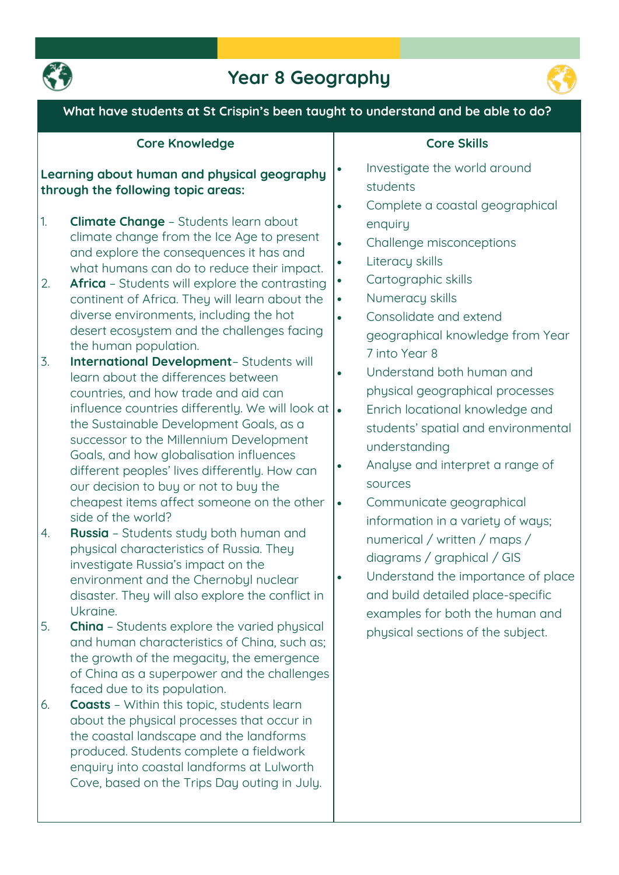

# **Year 8 Geography**



### **What have students at St Crispin's been taught to understand and be able to do?**

| <b>Core Knowledge</b>                                                                                                                                                                                                                                                                                                                                                                                                                                                                                                                                                                                                                                                                                                                                                                                                                                                                                                                                                                                                                                                                                                                                                                                                                                                                                                                                                                                                                                                                                                                                                                                           | <b>Core Skills</b>                                                                                                                                                                                                                                                                                                                                                                                                                                                                                                                                                                                                                                                                                                                                                                                                                                                                                                     |
|-----------------------------------------------------------------------------------------------------------------------------------------------------------------------------------------------------------------------------------------------------------------------------------------------------------------------------------------------------------------------------------------------------------------------------------------------------------------------------------------------------------------------------------------------------------------------------------------------------------------------------------------------------------------------------------------------------------------------------------------------------------------------------------------------------------------------------------------------------------------------------------------------------------------------------------------------------------------------------------------------------------------------------------------------------------------------------------------------------------------------------------------------------------------------------------------------------------------------------------------------------------------------------------------------------------------------------------------------------------------------------------------------------------------------------------------------------------------------------------------------------------------------------------------------------------------------------------------------------------------|------------------------------------------------------------------------------------------------------------------------------------------------------------------------------------------------------------------------------------------------------------------------------------------------------------------------------------------------------------------------------------------------------------------------------------------------------------------------------------------------------------------------------------------------------------------------------------------------------------------------------------------------------------------------------------------------------------------------------------------------------------------------------------------------------------------------------------------------------------------------------------------------------------------------|
| Learning about human and physical geography<br>through the following topic areas:<br>1.<br><b>Climate Change - Students learn about</b><br>climate change from the Ice Age to present<br>and explore the consequences it has and<br>what humans can do to reduce their impact.<br><b>Africa</b> - Students will explore the contrasting<br>2.<br>continent of Africa. They will learn about the<br>diverse environments, including the hot<br>desert ecosystem and the challenges facing<br>the human population.<br>$\overline{3}$ .<br>International Development-Students will<br>learn about the differences between<br>countries, and how trade and aid can<br>influence countries differently. We will look at<br>the Sustainable Development Goals, as a<br>successor to the Millennium Development<br>Goals, and how globalisation influences<br>different peoples' lives differently. How can<br>our decision to buy or not to buy the<br>cheapest items affect someone on the other<br>side of the world?<br>Russia - Students study both human and<br>4.<br>physical characteristics of Russia. They<br>investigate Russia's impact on the<br>environment and the Chernobyl nuclear<br>disaster. They will also explore the conflict in<br>Ukraine.<br>5.<br><b>China</b> - Students explore the varied physical<br>and human characteristics of China, such as;<br>the growth of the megacity, the emergence<br>of China as a superpower and the challenges<br>faced due to its population.<br><b>Coasts</b> - Within this topic, students learn<br>6.<br>about the physical processes that occur in | Investigate the world around<br>$\bullet$<br>students<br>Complete a coastal geographical<br>$\bullet$<br>enquiry<br>Challenge misconceptions<br>$\bullet$<br>Literacy skills<br>$\bullet$<br>Cartographic skills<br>$\bullet$<br>Numeracy skills<br>$\bullet$<br>Consolidate and extend<br>$\bullet$<br>geographical knowledge from Year<br>7 into Year 8<br>Understand both human and<br>$\bullet$<br>physical geographical processes<br>Enrich locational knowledge and<br>$\bullet$<br>students' spatial and environmental<br>understanding<br>Analyse and interpret a range of<br>$\bullet$<br>sources<br>Communicate geographical<br>$\bullet$<br>information in a variety of ways;<br>numerical / written / maps /<br>diagrams / graphical / GIS<br>Understand the importance of place<br>$\bullet$<br>and build detailed place-specific<br>examples for both the human and<br>physical sections of the subject. |
| the coastal landscape and the landforms<br>produced. Students complete a fieldwork<br>enquiry into coastal landforms at Lulworth<br>Cove, based on the Trips Day outing in July.                                                                                                                                                                                                                                                                                                                                                                                                                                                                                                                                                                                                                                                                                                                                                                                                                                                                                                                                                                                                                                                                                                                                                                                                                                                                                                                                                                                                                                |                                                                                                                                                                                                                                                                                                                                                                                                                                                                                                                                                                                                                                                                                                                                                                                                                                                                                                                        |